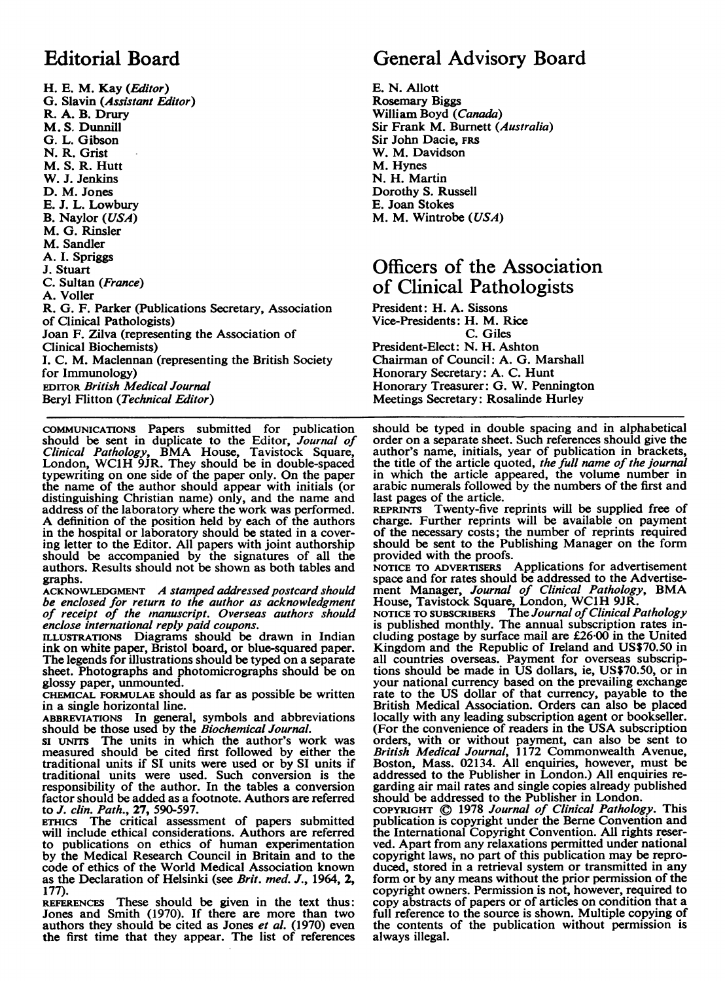# Editorial Board

H. E. M. Kay (Editor) G. Slavin (Assistant Editor) R. A. B. Drury M. S. Dunnill G. L. Gibson N. R. Grist M. S. R. Hutt W. J. Jenkins D. M. Jones E. J. L. Lowbury B. Naylor (USA) M. G. Rinsler M. Sandler A. I. Spriggs J. Stuart C. Sultan (France) A. Voller R. G. F. Parker (Publications Secretary, Association of Clinical Pathologists) Joan F. Zilva (representing the Association of Clinical Biochemists) I. C. M. Maclennan (representing the British Society for Immunology) EDITOR British Medical Journal Beryl Flitton (Technical Editor)

COMMUNICATIONS Papers submitted for publication should be sent in duplicate to the Editor, Journal of Clinical Pathology, BMA House, Tavistock Square, London, WC1H 9JR. They should be in double-spaced typewriting on one side of the paper only. On the paper the name of the author should appear with initials (or distinguishing Christian name) only, and the name and address of the laboratory where the work was performed. A definition of the position held by each of the authors in the hospital or laboratory should be stated in a covering letter to the Editor. All papers with joint authorship should be accompanied by the signatures of all the authors. Results should not be shown as both tables and graphs.

ACKNOWLEDGMENT A stamped addressed postcard should be enclosed for return to the author as acknowledgment of receipt of the manuscript. Overseas authors should enclose international reply paid coupons.

ILLUSTRATIONS Diagrams should be drawn in Indian ink on white paper, Bristol board, or blue-squared paper. The legends for illustrations should be typed on a separate sheet. Photographs and photomicrographs should be on glossy paper, unmounted.

CHEMICAL FORMULAE should as far as possible be written in a single horizontal line.

ABBREVIATIONS In general, symbols and abbreviations should be those used by the Biochemical Journal.

SI uNITS The units in which the author's work was measured should be cited first followed by either the traditional units if SI units were used or by SI units if traditional units were used. Such conversion is the responsibility of the author. In the tables a conversion factor should be added as a footnote. Authors are referred to J. clin. Path., 27, 590-597.

ErmCs The critical assessment of papers submitted will include ethical considerations. Authors are referred to publications on ethics of human experimentation by the Medical Research Council in Britain and to the code of ethics of the World Medical Association known as the Declaration of Helsinki (see Brit. med. J., 1964, 2, 177).

REFERENCES These should be given in the text thus: Jones and Smith (1970). If there are more than two authors they should be cited as Jones et al. (1970) even the first time that they appear. The list of references

## General Advisory Board

E. N. Allott Rosemary Biggs William Boyd (Canada) Sir Frank M. Burnett (Australia) Sir John Dacie, FRS W. M. Davidson M. Hynes N. H. Martin Dorothy S. Russell E. Joan Stokes M. M. Wintrobe (USA)

### Officers of the Association of Clinical Pathologists

President: H. A. Sissons Vice-Presidents: H. M. Rice C. Giles President-Elect: N. H. Ashton Chairman of Council: A. G. Marshall Honorary Secretary: A. C. Hunt Honorary Treasurer: G. W. Pennington Meetings Secretary: Rosalinde Hurley

should be typed in double spacing and in alphabetical order on a separate sheet. Such references should give the author's name, initials, year of publication in brackets, the title of the article quoted, the full name of the journal in which the article appeared, the volume number in arabic numerals followed by the numbers of the first and last pages of the article.

REPRINTS Twenty-five reprints will be supplied free of charge. Further reprints will be available on payment of the necessary costs; the number of reprints required should be sent to the Publishing Manager on the form provided with the proofs.

NOTICE TO ADVERTISERS Applications for advertisement space and for rates should be addressed to the Advertisement Manager, Journal of Clinical Pathology, BMA House, Tavistock Square, London, WC1H 9JR.<br>NOTICE TO SUBSCRIBERS The Journal of Clinical Pathology

is published monthly. The annual subscription rates including postage by surface mail are £26-00 in the United Kingdom and the Republic of Ireland and US\$70.50 in all countries overseas. Payment for overseas subscriptions should be made in US dollars, ie, US\$70.50, or in your national currency based on the prevailing exchange rate to the US dollar of that currency, payable to the British Medical Association. Orders can also be placed locally with any leading subscription agent or bookseller. (For the convenience of readers in the USA subscription orders, with or without payment, can also be sent to British Medical Journal, 1172 Commonwealth Avenue, Boston, Mass. 02134. All enquiries, however, must be addressed to the Publisher in London.) All enquiries regarding air mail rates and single copies already published should be addressed to the Publisher in London.

COPYRIGHT © 1978 Journal of Clinical Pathology. This publication is copyright under the Berne Convention and the International Copyright Convention. All rights reserved. Apart from any relaxations permitted under national copyright laws, no part of this publication may be reproduced, stored in a retrieval system or transmitted in any form or by any means without the prior permission of the copyright owners. Permission is not, however, required to copy abstracts of papers or of articles on condition that a full reference to the source is shown. Multiple copying of the contents of the publication without permission is always illegal.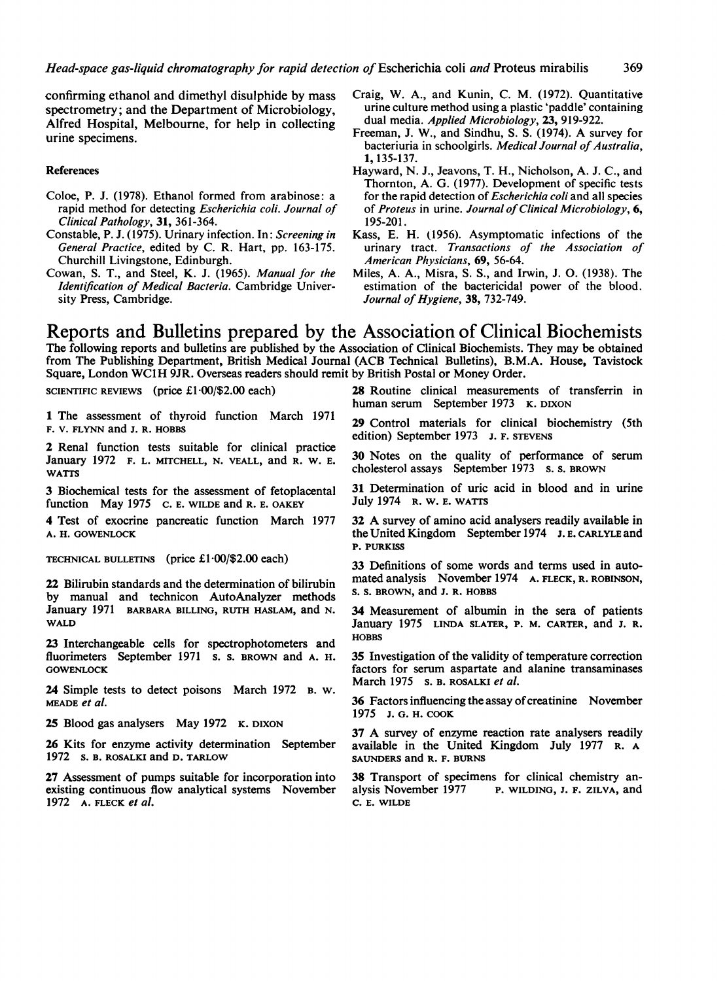confirming ethanol and dimethyl disulphide by mass spectrometry; and the Department of Microbiology, Alfred Hospital, Melbourne, for help in collecting urine specimens.

#### **References**

- Coloe, P. J. (1978). Ethanol formed from arabinose: a rapid method for detecting Escherichia coli. Journal of Clinical Pathology, 31, 361-364.
- Constable, P. J. (1975). Urinary infection. In: Screening in General Practice, edited by C. R. Hart, pp. 163-175. Churchill Livingstone, Edinburgh.
- Cowan, S. T., and Steel, K. J. (1965). Manual for the Identification of Medical Bacteria. Cambridge University Press, Cambridge.
- Craig, W. A., and Kunin, C. M. (1972). Quantitative urine culture method using a plastic 'paddle' containing dual media. Applied Microbiology, 23, 919-922.
- Freeman, J. W., and Sindhu, S. S. (1974). A survey for bacteriuria in schoolgirls. Medical Journal of Australia, 1, 135-137.
- Hayward, N. J., Jeavons, T. H., Nicholson, A. J. C., and Thornton, A. G. (1977). Development of specific tests for the rapid detection of Escherichia coli and all species of Proteus in urine. Journal of Clinical Microbiology,  $6$ , 195-201.
- Kass, E. H. (1956). Asymptomatic infections of the urinary tract. Transactions of the Association of American Physicians, 69, 56-64.
- Miles, A. A., Misra, S. S., and Irwin, J. 0. (1938). The estimation of the bactericidal power of the blood. Journal of Hygiene, 38, 732-749.

#### Reports and Bulletins prepared by the Association of Clinical Biochemists The following reports and bulletins are published by the Association of Clinical Biochemists. They may be obtained from The Publishing Department, British Medical Journal (ACB Technical Bulletins), B.M.A. House, Tavistock Square, London WC1H 9JR. Overseas readers should remit by British Postal or Money Order.

SCIENTIFIC REVIEWS (price £1-00/\$2.00 each)

1 The assessment of thyroid function March 1971 F. V. FLYNN and J. R. HOBBS

2 Renal function tests suitable for clinical practice January 1972 F. L. MITCHELL, N. VEALL, and R. W. E. WATTS

3 Biochemical tests for the assessment of fetoplacental function May 1975 C. E. WILDE and R. E. OAKEY

4 Test of exocrine pancreatic function March 1977 A. H. GOWENLOCK

TECHNICAL BULLETINS (price £1.00/\$2.00 each)

22 Bilirubin standards and the determination of bilirubin by manual and technicon AutoAnalyzer methods January 1971 BARBARA BILLING, RUTH HASLAM, and N. WALD

23 Interchangeable cells for spectrophotometers and fluorimeters September 1971 s. s. BROWN and A. H. **GOWENLOCK** 

24 Simple tests to detect poisons March 1972 B. W. MEADE et al.

25 Blood gas analysers May 1972 K. DIXON

26 Kits for enzyme activity determination September <sup>1972</sup> 5. B. ROSALKI and D. TARLOW

27 Assessment of pumps suitable for incorporation into existing continuous flow analytical systems November 1972 A. FLECK et al.

28 Routine clinical measurements of transferrin in human serum September 1973 K. DIXON

29 Control materials for clinical biochemistry (5th edition) September 1973 J. F. STEVENS

30 Notes on the quality of performance of serum cholesterol assays September 1973 S. S. BROWN

31 Determination of uric acid in blood and in urine July 1974 R. W. E. WATTS

<sup>32</sup> A survey of amino acid analysers readily available in theUnited Kingdom September 1974 J. E. CARLYLEand P. PURKISS

33 Definitions of some words and terms used in automated analysis November 1974 A. FLECK, R. ROBINSON, S. S. BROWN, and J. R. HOBBS

34 Measurement of albumin in the sera of patients January 1975 LINDA SLATER, P. M. CARTER, and J. R. HOBBS

35 Investigation of the validity of temperature correction factors for serum aspartate and alanine transaminases March 1975 s. B. ROSALKI et al.

36 Factors influencing the assay of creatinine November 1975 J. G. H. COOK

<sup>37</sup> A survey of enzyme reaction rate analysers readily available in the United Kingdom July 1977 R. A SAUNDERS and R. F. BURNS

38 Transport of specimens for clinical chemistry an-<br>alvsis November 1977 P. WILDING, J. F. ZILVA, and P. WILDING, J. F. ZILVA, and C. E. WILDE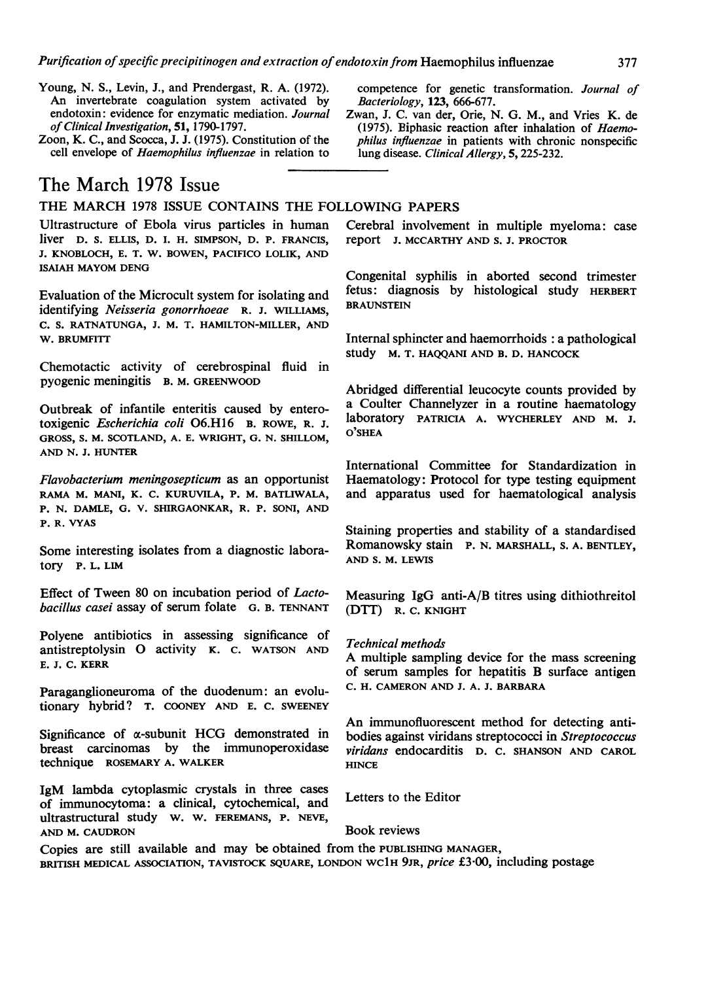- Young, N. S., Levin, J., and Prendergast, R. A. (1972). An invertebrate coagulation system activated by endotoxin: evidence for enzymatic mediation. Journal of Clinical Investigation, 51, 1790-1797.
- Zoon, K. C., and Scocca, J. J. (1975). Constitution of the cell envelope of Haemophilus influenzae in relation to

### The March 1978 Issue

THE MARCH <sup>1978</sup> ISSUE CONTAINS THE FOLLOWING PAPERS

Ultrastructure of Ebola virus particles in human liver D. S. ELLIS, D. I. H. SIMPSON, D. P. FRANCIS, J. KNOBLOCH, E. T. W. BOWEN, PACIFICO LOLIK, AND ISAIAH MAYOM DENG

Evaluation of the Microcult system for isolating and identifying Neisseria gonorrhoeae R. J. WILLIAMS, C. S. RATNATUNGA, J. M. T. HAMILTON-MILLER, AND W. BRUMFITT

Chemotactic activity of cerebrospinal fluid in pyogenic meningitis B. M. GREENWOOD

Outbreak of infantile enteritis caused by enterotoxigenic Escherichia coli 06.H16 B. ROWE, R. J. GROSS, S. M. SCOTLAND, A. E. WRIGHT, G. N. SHILLOM, AND N. J. HUNTER

Flavobacterium meningosepticum as an opportunist RAMA M. MANI, K. C. KURUVILA, P. M. BATLIWALA, P. N. DAMLE, G. V. SHIRGAONKAR, R. P. SONI, AND P. R. VYAS

Some interesting isolates from a diagnostic laboratory P. L. LIM

Effect of Tween 80 on incubation period of Lactobacillus casei assay of serum folate G. B. TENNANT

Polyene antibiotics in assessing significance of antistreptolysin 0 activity K. C. WATSON AND E. J. C. KERR

Paraganglioneuroma of the duodenum: an evolutionary hybrid? T. COONEY AND E. C. SWEENEY

Significance of  $\alpha$ -subunit HCG demonstrated in breast carcinomas by the immunoperoxidase technique ROSEMARY A. WALKER

IgM lambda cytoplasmic crystals in three cases of immunocytoma: a clinical, cytochemical, and ultrastructural study W. W. FEREMANS, P. NEVE, AND M. CAUDRON

competence for genetic transformation. Journal of Bacteriology, 123, 666-677.

Zwan, J. C. van der, Orie, N. G. M., and Vries K. de (1975). Biphasic reaction after inhalation of Haemophilus influenzae in patients with chronic nonspecific lung disease. Clinical Allergy, 5, 225-232.

Cerebral involvement in multiple myeloma: case report J. MCCARTHY AND S. J. PROCTOR

Congenital syphilis in aborted second trimester fetus: diagnosis by histological study HERBERT BRAUNSTEIN

Internal sphincter and haemorrhoids : a pathological study M. T. HAQQANI AND B. D. HANCOCK

Abridged differential leucocyte counts provided by a Coulter Channelyzer in a routine haematology laboratory PATRICIA A. WYCHERLEY AND M. J.  $O<sup>2</sup>SHEA$ 

International Committee for Standardization in Haematology: Protocol for type testing equipment and apparatus used for haematological analysis

Staining properties and stability of a standardised Romanowsky stain P. N. MARSHALL, S. A. BENTLEY, AND S. M. LEWIS

Measuring IgG anti-A/B titres using dithiothreitol (DTT) R. C. KNIGHT

#### Technical methods

A multiple sampling device for the mass screening of serum samples for hepatitis B surface antigen C. H. CAMERON AND J. A. J. BARBARA

An immunofluorescent method for detecting antibodies against viridans streptococci in Streptococcus viridans endocarditis D. C. SHANSON AND CAROL **HINCE** 

Letters to the Editor

Book reviews

Copies are still available and may be obtained from the PUBLISHING MANAGER, BRITISH MEDICAL ASSOCIATION, TAVISTOCK SQUARE, LONDON WC1H 9JR, price £3.00, including postage